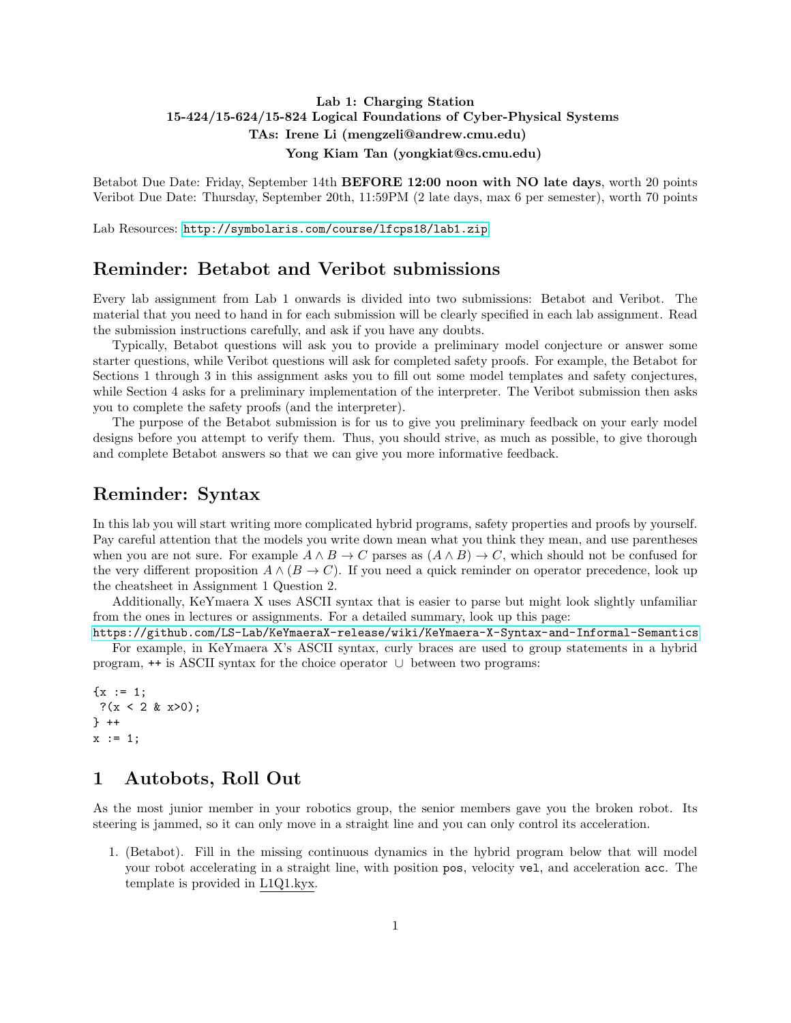### Lab 1: Charging Station 15-424/15-624/15-824 Logical Foundations of Cyber-Physical Systems TAs: Irene Li (mengzeli@andrew.cmu.edu) Yong Kiam Tan (yongkiat@cs.cmu.edu)

Betabot Due Date: Friday, September 14th BEFORE 12:00 noon with NO late days, worth 20 points Veribot Due Date: Thursday, September 20th, 11:59PM (2 late days, max 6 per semester), worth 70 points

Lab Resources: <http://symbolaris.com/course/lfcps18/lab1.zip>

### Reminder: Betabot and Veribot submissions

Every lab assignment from Lab 1 onwards is divided into two submissions: Betabot and Veribot. The material that you need to hand in for each submission will be clearly specified in each lab assignment. Read the submission instructions carefully, and ask if you have any doubts.

Typically, Betabot questions will ask you to provide a preliminary model conjecture or answer some starter questions, while Veribot questions will ask for completed safety proofs. For example, the Betabot for Sections 1 through 3 in this assignment asks you to fill out some model templates and safety conjectures, while Section 4 asks for a preliminary implementation of the interpreter. The Veribot submission then asks you to complete the safety proofs (and the interpreter).

The purpose of the Betabot submission is for us to give you preliminary feedback on your early model designs before you attempt to verify them. Thus, you should strive, as much as possible, to give thorough and complete Betabot answers so that we can give you more informative feedback.

### Reminder: Syntax

In this lab you will start writing more complicated hybrid programs, safety properties and proofs by yourself. Pay careful attention that the models you write down mean what you think they mean, and use parentheses when you are not sure. For example  $A \wedge B \to C$  parses as  $(A \wedge B) \to C$ , which should not be confused for the very different proposition  $A \wedge (B \to C)$ . If you need a quick reminder on operator precedence, look up the cheatsheet in Assignment 1 Question 2.

Additionally, KeYmaera X uses ASCII syntax that is easier to parse but might look slightly unfamiliar from the ones in lectures or assignments. For a detailed summary, look up this page:

<https://github.com/LS-Lab/KeYmaeraX-release/wiki/KeYmaera-X-Syntax-and-Informal-Semantics> For example, in KeYmaera X's ASCII syntax, curly braces are used to group statements in a hybrid program, ++ is ASCII syntax for the choice operator ∪ between two programs:

```
\{x := 1;?(x < 2 & x>0);
} ++
x := 1;
```
### 1 Autobots, Roll Out

As the most junior member in your robotics group, the senior members gave you the broken robot. Its steering is jammed, so it can only move in a straight line and you can only control its acceleration.

1. (Betabot). Fill in the missing continuous dynamics in the hybrid program below that will model your robot accelerating in a straight line, with position pos, velocity vel, and acceleration acc. The template is provided in L1Q1.kyx.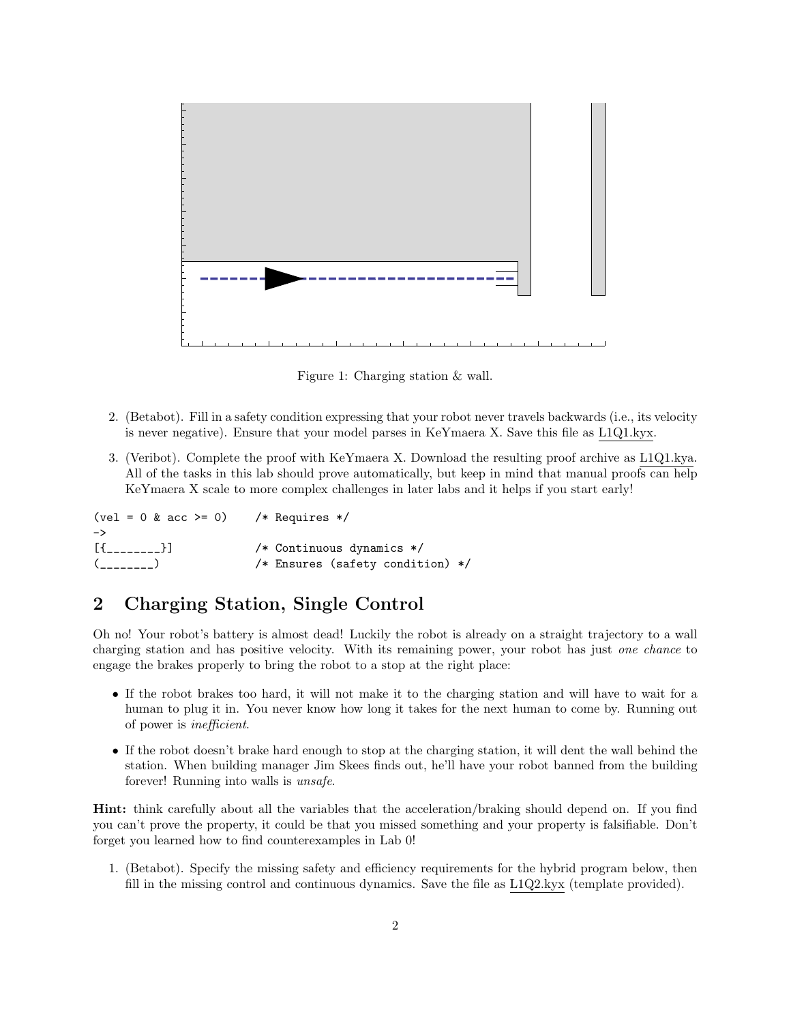

Figure 1: Charging station & wall.

- 2. (Betabot). Fill in a safety condition expressing that your robot never travels backwards (i.e., its velocity is never negative). Ensure that your model parses in KeYmaera X. Save this file as L1Q1.kyx.
- 3. (Veribot). Complete the proof with KeYmaera X. Download the resulting proof archive as L1Q1.kya. All of the tasks in this lab should prove automatically, but keep in mind that manual proofs can help KeYmaera X scale to more complex challenges in later labs and it helps if you start early!

| $\text{(vel = 0 & acc >= 0)}$ /* Requires */ |                                  |
|----------------------------------------------|----------------------------------|
| ->                                           |                                  |
|                                              | /* Continuous dynamics $*/$      |
| $($ <sub>_______</sub> )                     | /* Ensures (safety condition) */ |

# 2 Charging Station, Single Control

Oh no! Your robot's battery is almost dead! Luckily the robot is already on a straight trajectory to a wall charging station and has positive velocity. With its remaining power, your robot has just one chance to engage the brakes properly to bring the robot to a stop at the right place:

- If the robot brakes too hard, it will not make it to the charging station and will have to wait for a human to plug it in. You never know how long it takes for the next human to come by. Running out of power is inefficient.
- If the robot doesn't brake hard enough to stop at the charging station, it will dent the wall behind the station. When building manager Jim Skees finds out, he'll have your robot banned from the building forever! Running into walls is unsafe.

Hint: think carefully about all the variables that the acceleration/braking should depend on. If you find you can't prove the property, it could be that you missed something and your property is falsifiable. Don't forget you learned how to find counterexamples in Lab 0!

1. (Betabot). Specify the missing safety and efficiency requirements for the hybrid program below, then fill in the missing control and continuous dynamics. Save the file as L1Q2.kyx (template provided).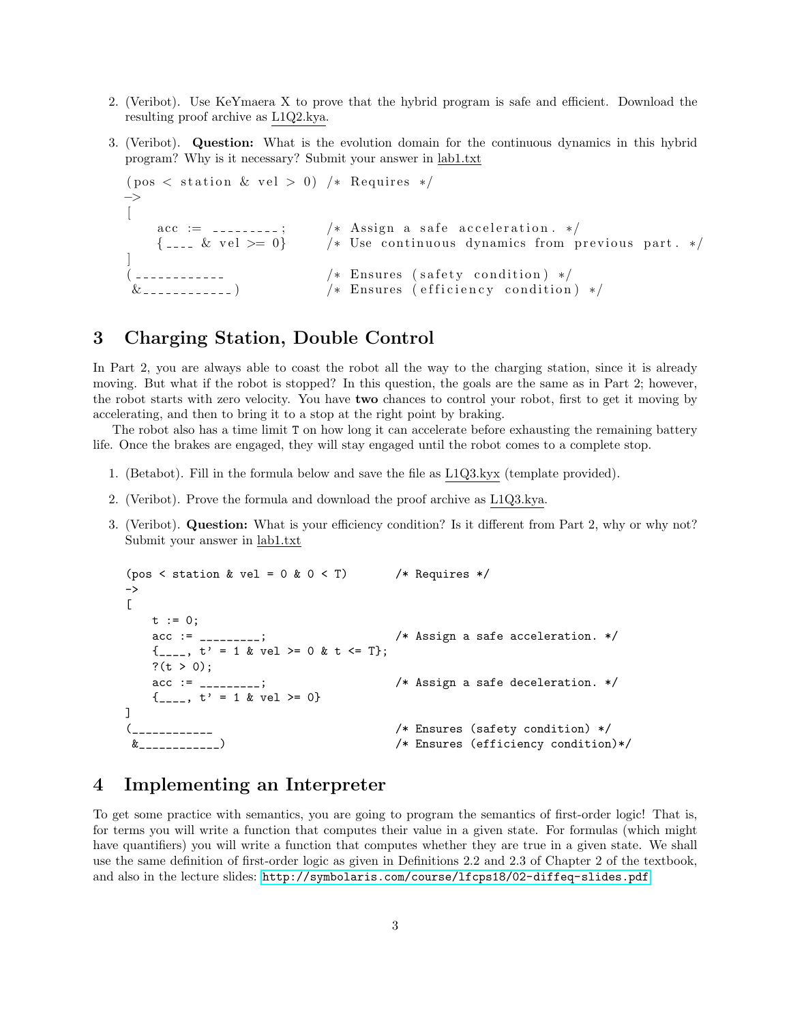- 2. (Veribot). Use KeYmaera X to prove that the hybrid program is safe and efficient. Download the resulting proof archive as L1Q2.kya.
- 3. (Veribot). Question: What is the evolution domain for the continuous dynamics in this hybrid program? Why is it necessary? Submit your answer in lab1.txt

```
( pos < station & vel > 0) /* Requires */
−>
\left[ \right]\text{acc} := \dots \dots ; \qquad \text{/} * \text{ Assign a safe acceleration. } */\{-... k vel >= 0} /* Use continuous dynamics from previous part. */
]
( ----------- /* Ensures (safety condition) */
 \& \leq \leq \leq \leq \leq \leq \leq \leq \leq \leq \leq \leq \leq \leq \leq \leq \leq \leq \leq \leq \leq \leq \leq \leq \leq \leq \leq \leq \leq \leq \leq \leq \leq \leq \leq \leq
```
### 3 Charging Station, Double Control

In Part 2, you are always able to coast the robot all the way to the charging station, since it is already moving. But what if the robot is stopped? In this question, the goals are the same as in Part 2; however, the robot starts with zero velocity. You have two chances to control your robot, first to get it moving by accelerating, and then to bring it to a stop at the right point by braking.

The robot also has a time limit T on how long it can accelerate before exhausting the remaining battery life. Once the brakes are engaged, they will stay engaged until the robot comes to a complete stop.

- 1. (Betabot). Fill in the formula below and save the file as L1Q3.kyx (template provided).
- 2. (Veribot). Prove the formula and download the proof archive as L1Q3.kya.
- 3. (Veribot). Question: What is your efficiency condition? Is it different from Part 2, why or why not? Submit your answer in lab1.txt

```
(pos < station & vel = 0 & 0 < T) /* Requires */->
[
   t := 0;
   acc := _________; /* Assign a safe acceleration. */
   {1 \dots, t' = 1 & \text{if } t = 0 & \text{if } t \leq T};?(t > 0);
   acc := _________; /* Assign a safe deceleration. */
   \{]
(____________ /* Ensures (safety condition) */
&____________) /* Ensures (efficiency condition)*/
```
### 4 Implementing an Interpreter

To get some practice with semantics, you are going to program the semantics of first-order logic! That is, for terms you will write a function that computes their value in a given state. For formulas (which might have quantifiers) you will write a function that computes whether they are true in a given state. We shall use the same definition of first-order logic as given in Definitions 2.2 and 2.3 of Chapter 2 of the textbook, and also in the lecture slides: <http://symbolaris.com/course/lfcps18/02-diffeq-slides.pdf>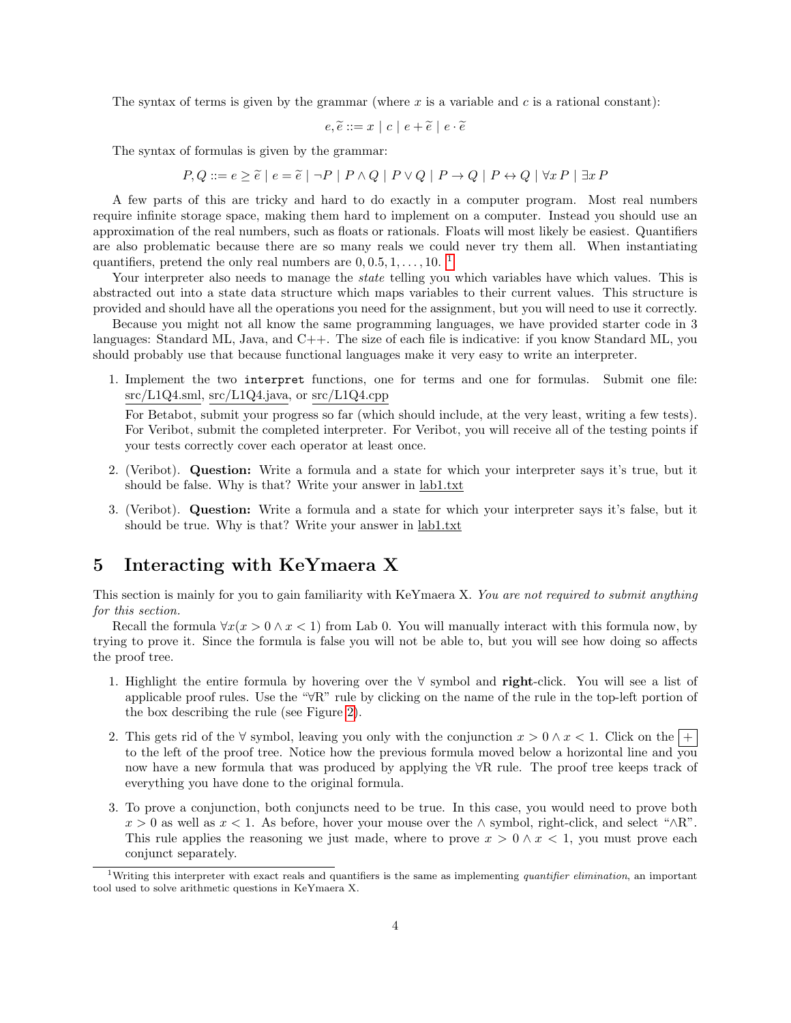The syntax of terms is given by the grammar (where x is a variable and c is a rational constant):

$$
e, \widetilde{e} ::= x \mid c \mid e + \widetilde{e} \mid e \cdot \widetilde{e}
$$

The syntax of formulas is given by the grammar:

 $P, Q ::= e \geq \tilde{e} | e = \tilde{e} | \neg P | P \land Q | P \lor Q | P \rightarrow Q | P \leftrightarrow Q | \forall x P | \exists x P$ 

A few parts of this are tricky and hard to do exactly in a computer program. Most real numbers require infinite storage space, making them hard to implement on a computer. Instead you should use an approximation of the real numbers, such as floats or rationals. Floats will most likely be easiest. Quantifiers are also problematic because there are so many reals we could never try them all. When instantiating quantifiers, pretend the only real numbers are  $0, 0.5, 1, \ldots, 10$  $0, 0.5, 1, \ldots, 10$  $0, 0.5, 1, \ldots, 10$ .

Your interpreter also needs to manage the *state* telling you which variables have which values. This is abstracted out into a state data structure which maps variables to their current values. This structure is provided and should have all the operations you need for the assignment, but you will need to use it correctly.

Because you might not all know the same programming languages, we have provided starter code in 3 languages: Standard ML, Java, and C++. The size of each file is indicative: if you know Standard ML, you should probably use that because functional languages make it very easy to write an interpreter.

1. Implement the two interpret functions, one for terms and one for formulas. Submit one file: src/L1Q4.sml, src/L1Q4.java, or src/L1Q4.cpp

For Betabot, submit your progress so far (which should include, at the very least, writing a few tests). For Veribot, submit the completed interpreter. For Veribot, you will receive all of the testing points if your tests correctly cover each operator at least once.

- 2. (Veribot). Question: Write a formula and a state for which your interpreter says it's true, but it should be false. Why is that? Write your answer in lab1.txt
- 3. (Veribot). Question: Write a formula and a state for which your interpreter says it's false, but it should be true. Why is that? Write your answer in lab1.txt

### 5 Interacting with KeYmaera X

This section is mainly for you to gain familiarity with KeYmaera X. You are not required to submit anything for this section.

Recall the formula  $\forall x(x > 0 \land x < 1)$  from Lab 0. You will manually interact with this formula now, by trying to prove it. Since the formula is false you will not be able to, but you will see how doing so affects the proof tree.

- 1. Highlight the entire formula by hovering over the ∀ symbol and right-click. You will see a list of applicable proof rules. Use the "∀R" rule by clicking on the name of the rule in the top-left portion of the box describing the rule (see Figure [2\)](#page-4-0).
- 2. This gets rid of the  $\forall$  symbol, leaving you only with the conjunction  $x > 0 \land x < 1$ . Click on the  $| +$ to the left of the proof tree. Notice how the previous formula moved below a horizontal line and you now have a new formula that was produced by applying the ∀R rule. The proof tree keeps track of everything you have done to the original formula.
- 3. To prove a conjunction, both conjuncts need to be true. In this case, you would need to prove both  $x > 0$  as well as  $x < 1$ . As before, hover your mouse over the  $\land$  symbol, right-click, and select " $\land$ R". This rule applies the reasoning we just made, where to prove  $x > 0 \land x < 1$ , you must prove each conjunct separately.

<span id="page-3-0"></span><sup>&</sup>lt;sup>1</sup>Writing this interpreter with exact reals and quantifiers is the same as implementing *quantifier elimination*, an important tool used to solve arithmetic questions in KeYmaera X.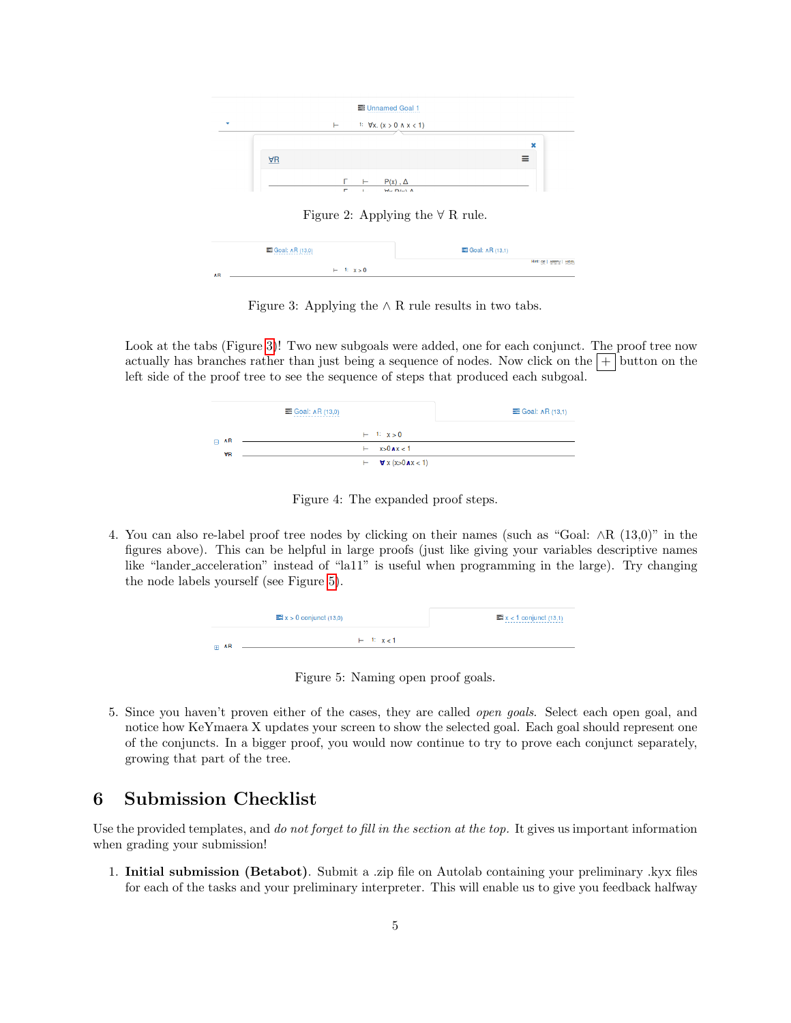

<span id="page-4-1"></span><span id="page-4-0"></span>Figure 2: Applying the  $\forall$  R rule.



Figure 3: Applying the  $\land$  R rule results in two tabs.

Look at the tabs (Figure [3\)](#page-4-1)! Two new subgoals were added, one for each conjunct. The proof tree now actually has branches rather than just being a sequence of nodes. Now click on the  $|+|$  button on the left side of the proof tree to see the sequence of steps that produced each subgoal.

|                        | $\equiv$ Goal: $\land$ R (13,0)                             | $\equiv$ Goal: $\land$ R (13,1) |
|------------------------|-------------------------------------------------------------|---------------------------------|
| $\Box$ AR<br><b>VR</b> | $+ 1: x > 0$                                                |                                 |
|                        | $x>0$ $\lambda x < 1$<br>н.                                 |                                 |
|                        | $\vdash$ <b><math>\forall</math></b> x (x>0 <b>A</b> x < 1) |                                 |

Figure 4: The expanded proof steps.

4. You can also re-label proof tree nodes by clicking on their names (such as "Goal: ∧R (13,0)" in the figures above). This can be helpful in large proofs (just like giving your variables descriptive names like "lander acceleration" instead of "la11" is useful when programming in the large). Try changing the node labels yourself (see Figure [5\)](#page-4-2).

| $\equiv x > 0$ conjunct (13,0) |              | $\equiv x < 1$ conjunct (13,1) |
|--------------------------------|--------------|--------------------------------|
| ⊕ ∧R                           | $+ 1: x < 1$ |                                |

<span id="page-4-2"></span>Figure 5: Naming open proof goals.

5. Since you haven't proven either of the cases, they are called open goals. Select each open goal, and notice how KeYmaera X updates your screen to show the selected goal. Each goal should represent one of the conjuncts. In a bigger proof, you would now continue to try to prove each conjunct separately, growing that part of the tree.

## 6 Submission Checklist

Use the provided templates, and do not forget to fill in the section at the top. It gives us important information when grading your submission!

1. Initial submission (Betabot). Submit a .zip file on Autolab containing your preliminary .kyx files for each of the tasks and your preliminary interpreter. This will enable us to give you feedback halfway